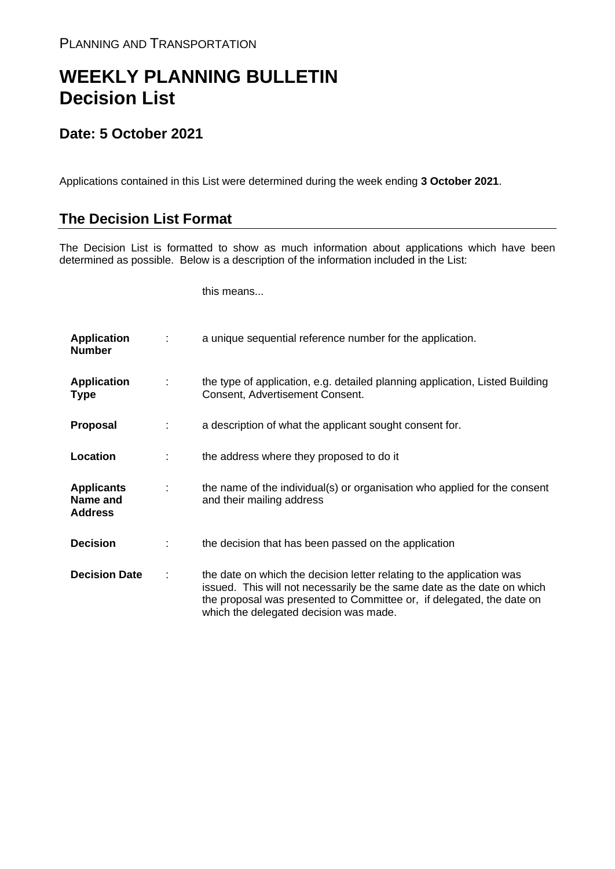## **WEEKLY PLANNING BULLETIN Decision List**

## **Date: 5 October 2021**

Applications contained in this List were determined during the week ending **3 October 2021**.

## **The Decision List Format**

The Decision List is formatted to show as much information about applications which have been determined as possible. Below is a description of the information included in the List:

this means...

| <b>Application</b><br><b>Number</b>             | a unique sequential reference number for the application.                                                                                                                                                                                                           |
|-------------------------------------------------|---------------------------------------------------------------------------------------------------------------------------------------------------------------------------------------------------------------------------------------------------------------------|
| <b>Application</b><br><b>Type</b>               | the type of application, e.g. detailed planning application, Listed Building<br>Consent, Advertisement Consent.                                                                                                                                                     |
| <b>Proposal</b>                                 | a description of what the applicant sought consent for.                                                                                                                                                                                                             |
| Location                                        | the address where they proposed to do it                                                                                                                                                                                                                            |
| <b>Applicants</b><br>Name and<br><b>Address</b> | the name of the individual(s) or organisation who applied for the consent<br>and their mailing address                                                                                                                                                              |
| <b>Decision</b>                                 | the decision that has been passed on the application                                                                                                                                                                                                                |
| <b>Decision Date</b>                            | the date on which the decision letter relating to the application was<br>issued. This will not necessarily be the same date as the date on which<br>the proposal was presented to Committee or, if delegated, the date on<br>which the delegated decision was made. |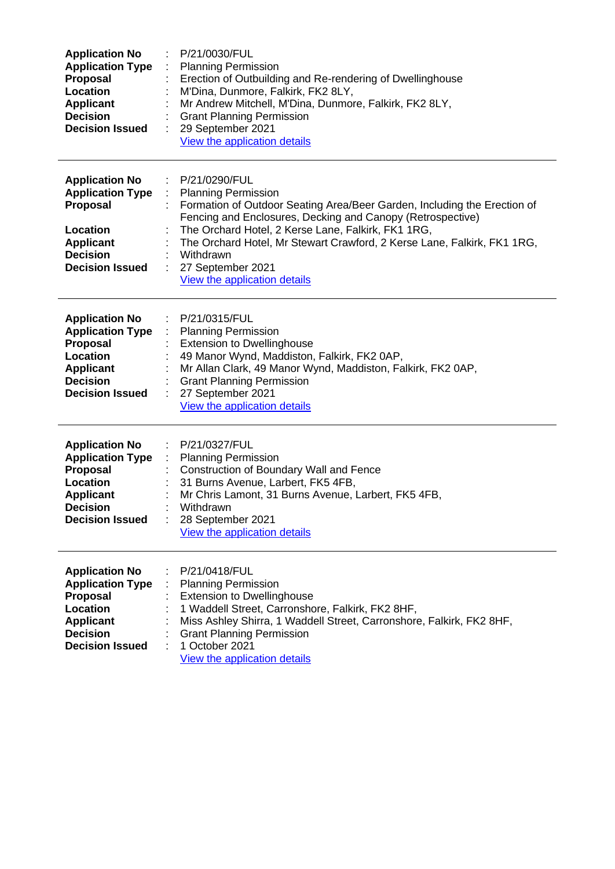| <b>Application No</b><br><b>Application Type</b><br>Proposal<br>Location<br><b>Applicant</b><br><b>Decision</b><br><b>Decision Issued</b>        | P/21/0030/FUL<br><b>Planning Permission</b><br>Erection of Outbuilding and Re-rendering of Dwellinghouse<br>M'Dina, Dunmore, Falkirk, FK2 8LY,<br>Mr Andrew Mitchell, M'Dina, Dunmore, Falkirk, FK2 8LY,<br><b>Grant Planning Permission</b><br>29 September 2021<br>View the application details                                                                                        |
|--------------------------------------------------------------------------------------------------------------------------------------------------|------------------------------------------------------------------------------------------------------------------------------------------------------------------------------------------------------------------------------------------------------------------------------------------------------------------------------------------------------------------------------------------|
| <b>Application No</b><br><b>Application Type</b><br>Proposal<br>Location<br><b>Applicant</b><br><b>Decision</b><br><b>Decision Issued</b>        | P/21/0290/FUL<br><b>Planning Permission</b><br>Formation of Outdoor Seating Area/Beer Garden, Including the Erection of<br>Fencing and Enclosures, Decking and Canopy (Retrospective)<br>The Orchard Hotel, 2 Kerse Lane, Falkirk, FK1 1RG,<br>The Orchard Hotel, Mr Stewart Crawford, 2 Kerse Lane, Falkirk, FK1 1RG,<br>Withdrawn<br>27 September 2021<br>View the application details |
| <b>Application No</b><br><b>Application Type</b><br><b>Proposal</b><br>Location<br><b>Applicant</b><br><b>Decision</b><br><b>Decision Issued</b> | P/21/0315/FUL<br>÷.<br><b>Planning Permission</b><br><b>Extension to Dwellinghouse</b><br>49 Manor Wynd, Maddiston, Falkirk, FK2 0AP,<br>Mr Allan Clark, 49 Manor Wynd, Maddiston, Falkirk, FK2 0AP,<br><b>Grant Planning Permission</b><br>27 September 2021<br>÷<br>View the application details                                                                                       |
| <b>Application No</b><br><b>Application Type</b><br><b>Proposal</b><br>Location<br><b>Applicant</b><br><b>Decision</b><br><b>Decision Issued</b> | P/21/0327/FUL<br><b>Planning Permission</b><br>Construction of Boundary Wall and Fence<br>31 Burns Avenue, Larbert, FK5 4FB,<br>Mr Chris Lamont, 31 Burns Avenue, Larbert, FK5 4FB,<br>Withdrawn<br>28 September 2021<br>View the application details                                                                                                                                    |
| <b>Application No</b><br><b>Application Type</b><br><b>Proposal</b><br>Location<br><b>Applicant</b><br><b>Decision</b><br><b>Decision Issued</b> | P/21/0418/FUL<br><b>Planning Permission</b><br><b>Extension to Dwellinghouse</b><br>1 Waddell Street, Carronshore, Falkirk, FK2 8HF,<br>Miss Ashley Shirra, 1 Waddell Street, Carronshore, Falkirk, FK2 8HF,<br><b>Grant Planning Permission</b><br>1 October 2021<br>View the application details                                                                                       |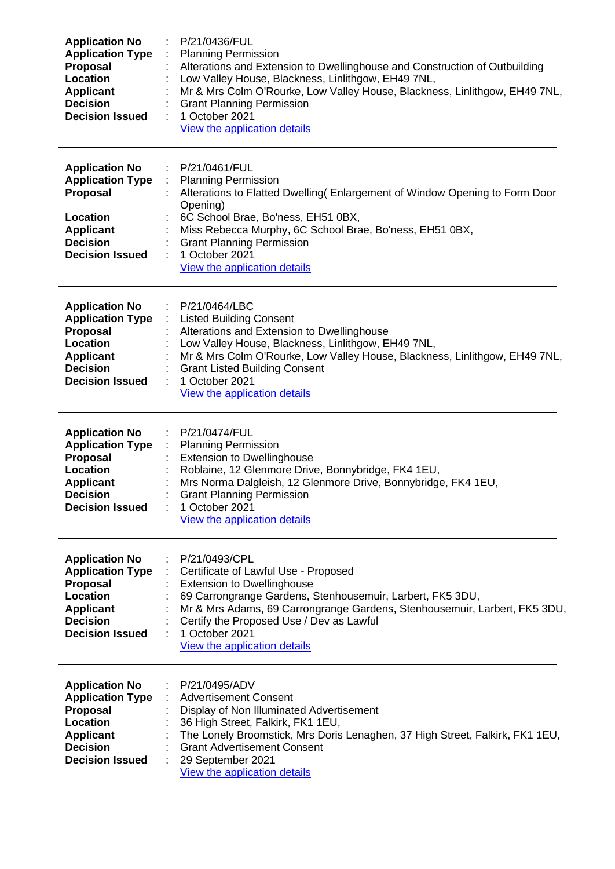| <b>Application No</b><br><b>Application Type</b><br>Proposal<br>Location<br><b>Applicant</b><br><b>Decision</b><br><b>Decision Issued</b>        | P/21/0436/FUL<br><b>Planning Permission</b><br>Alterations and Extension to Dwellinghouse and Construction of Outbuilding<br>Low Valley House, Blackness, Linlithgow, EH49 7NL,<br>Mr & Mrs Colm O'Rourke, Low Valley House, Blackness, Linlithgow, EH49 7NL,<br><b>Grant Planning Permission</b><br>1 October 2021<br>View the application details  |
|--------------------------------------------------------------------------------------------------------------------------------------------------|------------------------------------------------------------------------------------------------------------------------------------------------------------------------------------------------------------------------------------------------------------------------------------------------------------------------------------------------------|
| <b>Application No</b><br><b>Application Type</b><br><b>Proposal</b><br>Location<br><b>Applicant</b><br><b>Decision</b><br><b>Decision Issued</b> | P/21/0461/FUL<br>$\mathbb{R}^n$<br><b>Planning Permission</b><br>Alterations to Flatted Dwelling (Enlargement of Window Opening to Form Door<br>Opening)<br>6C School Brae, Bo'ness, EH51 0BX,<br>Miss Rebecca Murphy, 6C School Brae, Bo'ness, EH51 0BX,<br><b>Grant Planning Permission</b><br>1 October 2021<br>÷<br>View the application details |
| <b>Application No</b><br><b>Application Type</b><br><b>Proposal</b><br>Location<br><b>Applicant</b><br><b>Decision</b><br><b>Decision Issued</b> | P/21/0464/LBC<br><b>Listed Building Consent</b><br>Alterations and Extension to Dwellinghouse<br>Low Valley House, Blackness, Linlithgow, EH49 7NL,<br>Mr & Mrs Colm O'Rourke, Low Valley House, Blackness, Linlithgow, EH49 7NL,<br><b>Grant Listed Building Consent</b><br>1 October 2021<br>View the application details                          |
| <b>Application No</b><br><b>Application Type</b><br>Proposal<br>Location<br><b>Applicant</b><br><b>Decision</b><br><b>Decision Issued</b>        | P/21/0474/FUL<br><b>Planning Permission</b><br><b>Extension to Dwellinghouse</b><br>Roblaine, 12 Glenmore Drive, Bonnybridge, FK4 1EU,<br>Mrs Norma Dalgleish, 12 Glenmore Drive, Bonnybridge, FK4 1EU,<br><b>Grant Planning Permission</b><br>1 October 2021<br>View the application details                                                        |
| <b>Application No</b><br><b>Application Type</b><br><b>Proposal</b><br>Location<br><b>Applicant</b><br><b>Decision</b><br><b>Decision Issued</b> | P/21/0493/CPL<br>Certificate of Lawful Use - Proposed<br><b>Extension to Dwellinghouse</b><br>69 Carrongrange Gardens, Stenhousemuir, Larbert, FK5 3DU,<br>Mr & Mrs Adams, 69 Carrongrange Gardens, Stenhousemuir, Larbert, FK5 3DU,<br>Certify the Proposed Use / Dev as Lawful<br>1 October 2021<br>View the application details                   |
| <b>Application No</b><br><b>Application Type</b><br>Proposal<br>Location<br><b>Applicant</b><br><b>Decision</b><br><b>Decision Issued</b>        | P/21/0495/ADV<br><b>Advertisement Consent</b><br>Display of Non Illuminated Advertisement<br>36 High Street, Falkirk, FK1 1EU,<br>The Lonely Broomstick, Mrs Doris Lenaghen, 37 High Street, Falkirk, FK1 1EU,<br><b>Grant Advertisement Consent</b><br>29 September 2021<br>View the application details                                            |